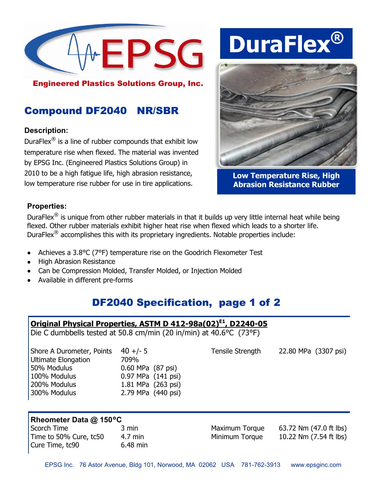

### Engineered Plastics Solutions Group, Inc.

## Compound DF2040 NR/SBR

#### **Description:**

DuraFlex $^{\circledR}$  is a line of rubber compounds that exhibit low temperature rise when flexed. The material was invented by EPSG Inc. (Engineered Plastics Solutions Group) in 2010 to be a high fatigue life, high abrasion resistance, low temperature rise rubber for use in tire applications.

# **DuraFlex®**



**Low Temperature Rise, High Abrasion Resistance Rubber**

Tensile Strength 22.80 MPa (3307 psi)

## **Properties:**

DuraFlex<sup>®</sup> is unique from other rubber materials in that it builds up very little internal heat while being flexed. Other rubber materials exhibit higher heat rise when flexed which leads to a shorter life. DuraFlex<sup>®</sup> accomplishes this with its proprietary ingredients. Notable properties include:

- Achieves a 3.8°C (7°F) temperature rise on the Goodrich Flexometer Test  $\bullet$
- High Abrasion Resistance  $\bullet$
- Can be Compression Molded, Transfer Molded, or Injection Molded
- Available in different pre-forms  $\bullet$

## DF2040 Specification, page 1 of 2

## **Original Physical Properties, ASTM D 412-98a(02)E1, D2240-05**

Die C dumbbells tested at 50.8 cm/min (20 in/min) at 40.6°C (73°F)

| Shore A Durometer, Points  | $40 +/- 5$         |  |
|----------------------------|--------------------|--|
| <b>Ultimate Elongation</b> | 709%               |  |
| 50% Modulus                | 0.60 MPa (87 psi)  |  |
| 100% Modulus               | 0.97 MPa (141 psi) |  |
| 200% Modulus               | 1.81 MPa (263 psi) |  |
| 300% Modulus               | 2.79 MPa (440 psi) |  |
|                            |                    |  |

#### **Rheometer Data @ 150°C**

Scorch Time 3 min 3 min Maximum Torque 63.72 Nm (47.0 ft lbs) Time to 50% Cure, tc50  $\frac{4.7 \text{ min}}{4.2 \text{ min}}$  Minimum Torque  $\frac{10.22 \text{ Nm}}{7.54 \text{ ft}}$  lbs) Cure Time, tc90 6.48 min